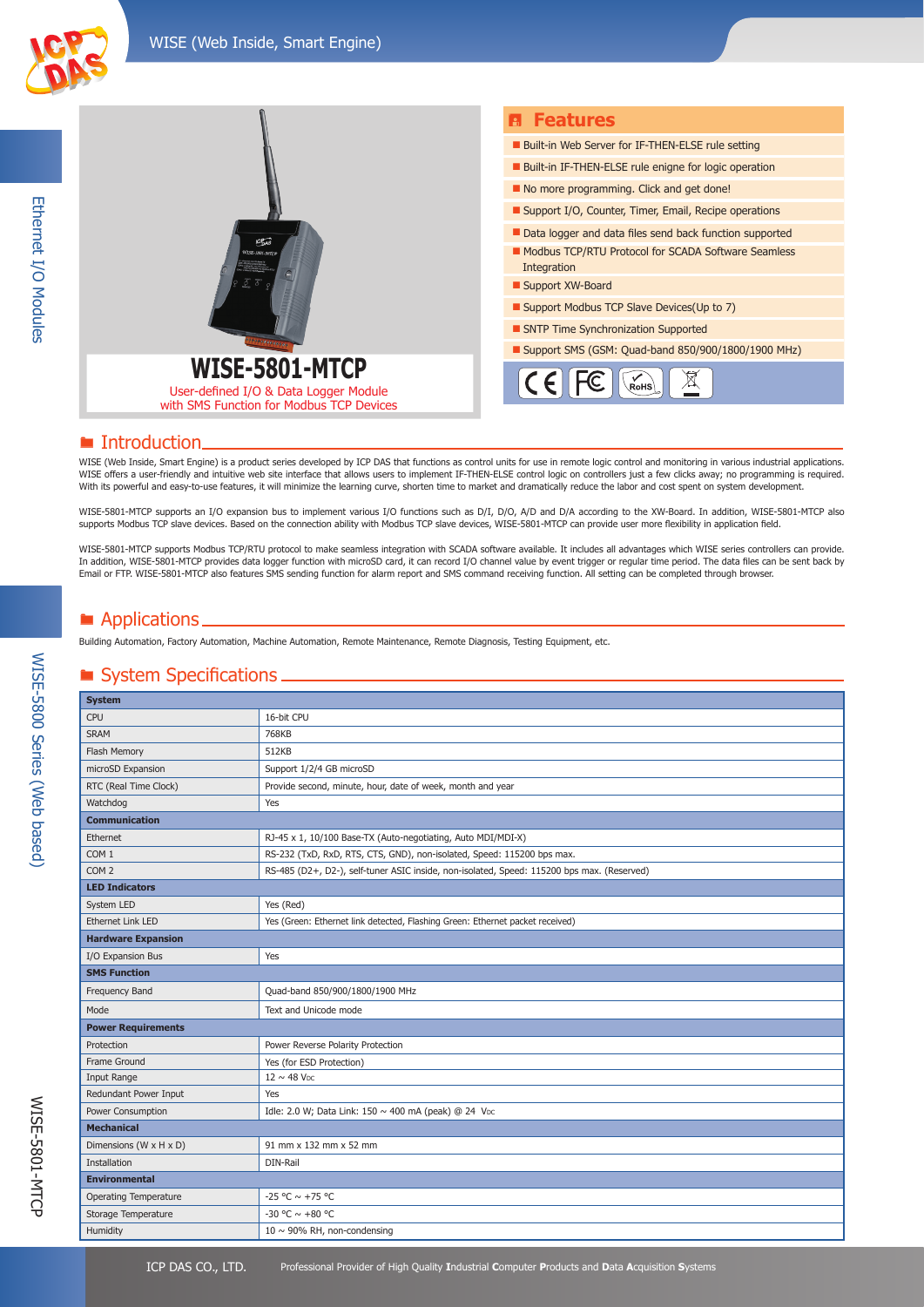



#### **E** Introduction

WISE (Web Inside, Smart Engine) is a product series developed by ICP DAS that functions as control units for use in remote logic control and monitoring in various industrial applications. WISE offers a user-friendly and intuitive web site interface that allows users to implement IF-THEN-ELSE control logic on controllers just a few clicks away; no programming is required. With its powerful and easy-to-use features, it will minimize the learning curve, shorten time to market and dramatically reduce the labor and cost spent on system development.

WISE-5801-MTCP supports an I/O expansion bus to implement various I/O functions such as D/I, D/O, A/D and D/A according to the XW-Board. In addition, WISE-5801-MTCP also supports Modbus TCP slave devices. Based on the connection ability with Modbus TCP slave devices, WISE-5801-MTCP can provide user more flexibility in application field.

WISE-5801-MTCP supports Modbus TCP/RTU protocol to make seamless integration with SCADA software available. It includes all advantages which WISE series controllers can provide. In addition, WISE-5801-MTCP provides data logger function with microSD card, it can record I/O channel value by event trigger or regular time period. The data files can be sent back by Email or FTP. WISE-5801-MTCP also features SMS sending function for alarm report and SMS command receiving function. All setting can be completed through browser.

## ■ Applications.

Building Automation, Factory Automation, Machine Automation, Remote Maintenance, Remote Diagnosis, Testing Equipment, etc.

#### **System Specifications.**

| <b>System</b>                        |                                                                                            |  |  |
|--------------------------------------|--------------------------------------------------------------------------------------------|--|--|
| CPU                                  | 16-bit CPU                                                                                 |  |  |
| <b>SRAM</b>                          | 768KB                                                                                      |  |  |
| Flash Memory                         | 512KB                                                                                      |  |  |
| microSD Expansion                    | Support 1/2/4 GB microSD                                                                   |  |  |
| RTC (Real Time Clock)                | Provide second, minute, hour, date of week, month and year                                 |  |  |
| Watchdog                             | Yes                                                                                        |  |  |
| <b>Communication</b>                 |                                                                                            |  |  |
| Ethernet                             | RJ-45 x 1, 10/100 Base-TX (Auto-negotiating, Auto MDI/MDI-X)                               |  |  |
| COM <sub>1</sub>                     | RS-232 (TxD, RxD, RTS, CTS, GND), non-isolated, Speed: 115200 bps max.                     |  |  |
| COM <sub>2</sub>                     | RS-485 (D2+, D2-), self-tuner ASIC inside, non-isolated, Speed: 115200 bps max. (Reserved) |  |  |
| <b>LED Indicators</b>                |                                                                                            |  |  |
| System LED                           | Yes (Red)                                                                                  |  |  |
| <b>Ethernet Link LED</b>             | Yes (Green: Ethernet link detected, Flashing Green: Ethernet packet received)              |  |  |
| <b>Hardware Expansion</b>            |                                                                                            |  |  |
| I/O Expansion Bus                    | Yes                                                                                        |  |  |
| <b>SMS Function</b>                  |                                                                                            |  |  |
| Frequency Band                       | Quad-band 850/900/1800/1900 MHz                                                            |  |  |
| Mode                                 | Text and Unicode mode                                                                      |  |  |
| <b>Power Requirements</b>            |                                                                                            |  |  |
| Protection                           | Power Reverse Polarity Protection                                                          |  |  |
| Frame Ground                         | Yes (for ESD Protection)                                                                   |  |  |
| Input Range                          | $12 \sim 48$ V <sub>DC</sub>                                                               |  |  |
| Redundant Power Input                | Yes                                                                                        |  |  |
| Power Consumption                    | Idle: 2.0 W; Data Link: 150 ~ 400 mA (peak) @ 24 Vpc                                       |  |  |
| <b>Mechanical</b>                    |                                                                                            |  |  |
| Dimensions ( $W \times H \times D$ ) | 91 mm x 132 mm x 52 mm                                                                     |  |  |
| Installation                         | DIN-Rail                                                                                   |  |  |
| <b>Environmental</b>                 |                                                                                            |  |  |
| <b>Operating Temperature</b>         | $-25 °C \sim +75 °C$                                                                       |  |  |
| Storage Temperature                  | -30 °C $\sim$ +80 °C                                                                       |  |  |
| Humidity                             | 10 $\sim$ 90% RH, non-condensing                                                           |  |  |